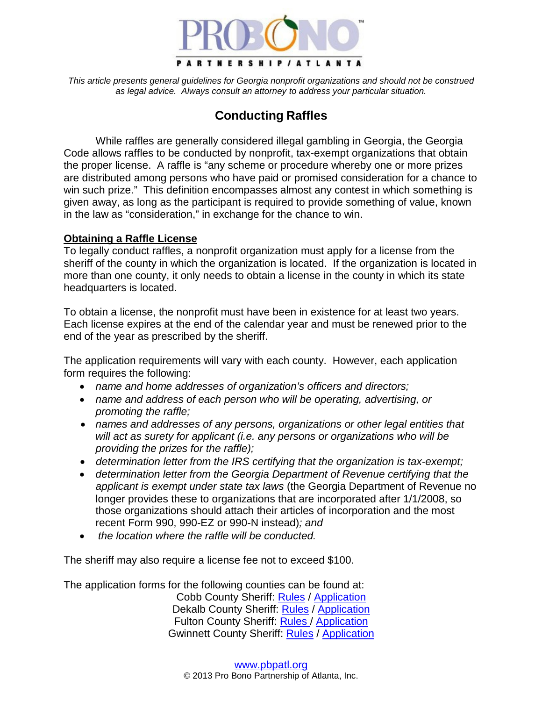

*This article presents general guidelines for Georgia nonprofit organizations and should not be construed as legal advice. Always consult an attorney to address your particular situation.*

# **Conducting Raffles**

While raffles are generally considered illegal gambling in Georgia, the Georgia Code allows raffles to be conducted by nonprofit, tax-exempt organizations that obtain the proper license. A raffle is "any scheme or procedure whereby one or more prizes are distributed among persons who have paid or promised consideration for a chance to win such prize." This definition encompasses almost any contest in which something is given away, as long as the participant is required to provide something of value, known in the law as "consideration," in exchange for the chance to win.

#### **Obtaining a Raffle License**

To legally conduct raffles, a nonprofit organization must apply for a license from the sheriff of the county in which the organization is located. If the organization is located in more than one county, it only needs to obtain a license in the county in which its state headquarters is located.

To obtain a license, the nonprofit must have been in existence for at least two years. Each license expires at the end of the calendar year and must be renewed prior to the end of the year as prescribed by the sheriff.

The application requirements will vary with each county. However, each application form requires the following:

- *name and home addresses of organization's officers and directors;*
- *name and address of each person who will be operating, advertising, or promoting the raffle;*
- *names and addresses of any persons, organizations or other legal entities that will act as surety for applicant (i.e. any persons or organizations who will be providing the prizes for the raffle);*
- *determination letter from the IRS certifying that the organization is tax-exempt;*
- *determination letter from the Georgia Department of Revenue certifying that the applicant is exempt under state tax laws* (the Georgia Department of Revenue no longer provides these to organizations that are incorporated after 1/1/2008, so those organizations should attach their articles of incorporation and the most recent Form 990, 990-EZ or 990-N instead)*; and*
- *the location where the raffle will be conducted.*

The sheriff may also require a license fee not to exceed \$100.

The application forms for the following counties can be found at: Cobb County Sheriff: [Rules](http://www.cobbsheriff.org/IA/raffles.htm) / [Application](http://www.cobbsheriff.org/IA/forms/raffle.pdf) Dekalb County Sheriff: [Rules](http://www.dekalbsheriff.org/web/public/index_commendation.php#3) / [Application](http://www.dekalbsheriff.org/home/dekal2/public_html/media/File/Down%20Load%20Forms/Raffle%20License%20Application.pdf) Fulton County Sheriff: [Rules](http://www.fultonsheriff.org/raffle-license.html) / [Application](http://www.fultonsheriff.org/files/62133827.pdf) Gwinnett County Sheriff: [Rules](http://www.gwinnettcountysheriff.com/Raffle%20Application.pdf) / [Application](http://www.gwinnettcountysheriff.com/Raffle%20Application.pdf)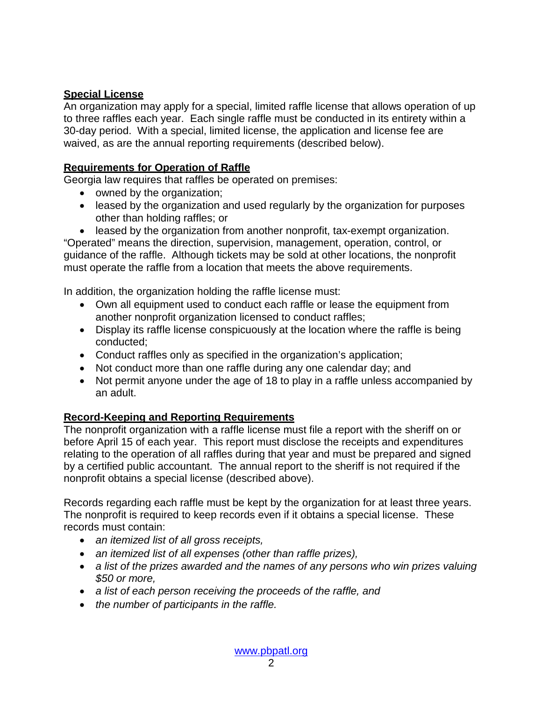# **Special License**

An organization may apply for a special, limited raffle license that allows operation of up to three raffles each year. Each single raffle must be conducted in its entirety within a 30-day period. With a special, limited license, the application and license fee are waived, as are the annual reporting requirements (described below).

# **Requirements for Operation of Raffle**

Georgia law requires that raffles be operated on premises:

- owned by the organization;
- leased by the organization and used regularly by the organization for purposes other than holding raffles; or
- leased by the organization from another nonprofit, tax-exempt organization.

"Operated" means the direction, supervision, management, operation, control, or guidance of the raffle. Although tickets may be sold at other locations, the nonprofit must operate the raffle from a location that meets the above requirements.

In addition, the organization holding the raffle license must:

- Own all equipment used to conduct each raffle or lease the equipment from another nonprofit organization licensed to conduct raffles;
- Display its raffle license conspicuously at the location where the raffle is being conducted;
- Conduct raffles only as specified in the organization's application;
- Not conduct more than one raffle during any one calendar day; and
- Not permit anyone under the age of 18 to play in a raffle unless accompanied by an adult.

# **Record-Keeping and Reporting Requirements**

The nonprofit organization with a raffle license must file a report with the sheriff on or before April 15 of each year. This report must disclose the receipts and expenditures relating to the operation of all raffles during that year and must be prepared and signed by a certified public accountant. The annual report to the sheriff is not required if the nonprofit obtains a special license (described above).

Records regarding each raffle must be kept by the organization for at least three years. The nonprofit is required to keep records even if it obtains a special license. These records must contain:

- *an itemized list of all gross receipts,*
- *an itemized list of all expenses (other than raffle prizes),*
- *a list of the prizes awarded and the names of any persons who win prizes valuing \$50 or more,*
- *a list of each person receiving the proceeds of the raffle, and*
- *the number of participants in the raffle.*